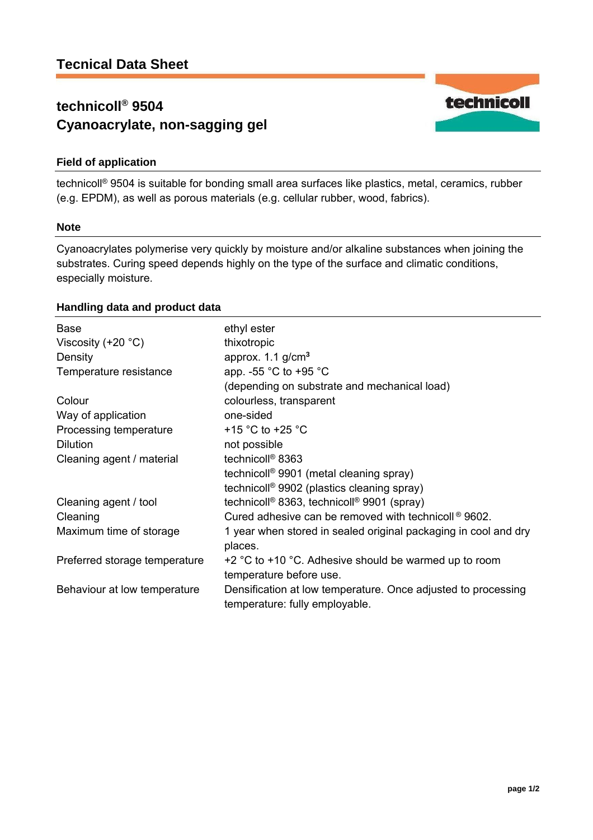# **technicoll® 9504 Cyanoacrylate, non-sagging gel**



technicoll® 9504 is suitable for bonding small area surfaces like plastics, metal, ceramics, rubber (e.g. EPDM), as well as porous materials (e.g. cellular rubber, wood, fabrics).

## **Note**

Cyanoacrylates polymerise very quickly by moisture and/or alkaline substances when joining the substrates. Curing speed depends highly on the type of the surface and climatic conditions, especially moisture.

# **Handling data and product data**

| <b>Base</b>                   | ethyl ester                                                                                     |
|-------------------------------|-------------------------------------------------------------------------------------------------|
| Viscosity $(+20 °C)$          | thixotropic                                                                                     |
| Density                       | approx. $1.1$ g/cm <sup>3</sup>                                                                 |
| Temperature resistance        | app. -55 °C to +95 °C                                                                           |
|                               | (depending on substrate and mechanical load)                                                    |
| Colour                        | colourless, transparent                                                                         |
| Way of application            | one-sided                                                                                       |
| Processing temperature        | +15 °C to +25 °C                                                                                |
| <b>Dilution</b>               | not possible                                                                                    |
| Cleaning agent / material     | technicoll <sup>®</sup> 8363                                                                    |
|                               | technicoll <sup>®</sup> 9901 (metal cleaning spray)                                             |
|                               | technicoll <sup>®</sup> 9902 (plastics cleaning spray)                                          |
| Cleaning agent / tool         | technicoll <sup>®</sup> 8363, technicoll <sup>®</sup> 9901 (spray)                              |
| Cleaning                      | Cured adhesive can be removed with technicoll $\textdegree$ 9602.                               |
| Maximum time of storage       | 1 year when stored in sealed original packaging in cool and dry                                 |
|                               | places.                                                                                         |
| Preferred storage temperature | +2 $\degree$ C to +10 $\degree$ C. Adhesive should be warmed up to room                         |
|                               | temperature before use.                                                                         |
| Behaviour at low temperature  | Densification at low temperature. Once adjusted to processing<br>temperature: fully employable. |

technicoll